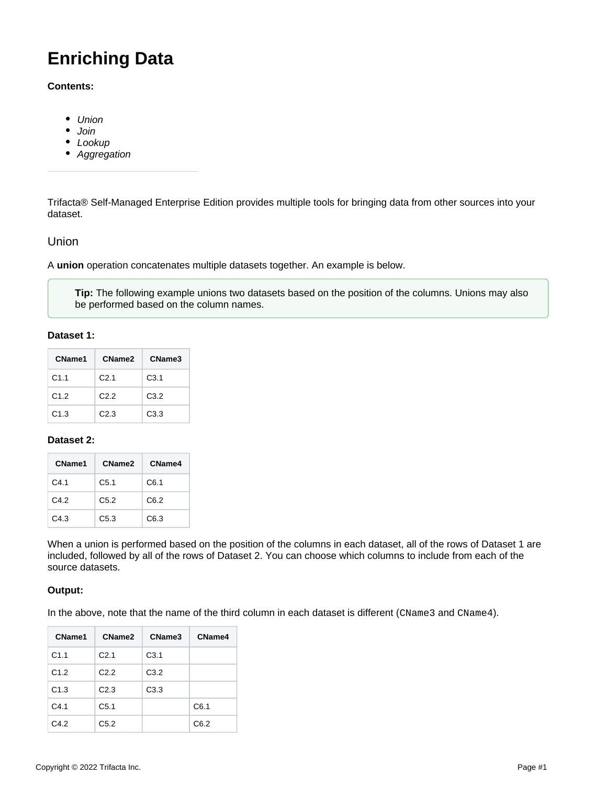# **Enriching Data**

## **Contents:**

- [Union](#page-0-0)
- [Join](#page-1-0)
- [Lookup](#page-1-1)
- [Aggregation](#page-2-0)

Trifacta® Self-Managed Enterprise Edition provides multiple tools for bringing data from other sources into your dataset.

# <span id="page-0-0"></span>Union

A **union** operation concatenates multiple datasets together. An example is below.

**Tip:** The following example unions two datasets based on the position of the columns. Unions may also be performed based on the column names.

## **Dataset 1:**

| CName1           | CName <sub>2</sub> | CName3           |
|------------------|--------------------|------------------|
| C <sub>1.1</sub> | C <sub>2.1</sub>   | C <sub>3.1</sub> |
| C1.2             | C2.2               | C <sub>3.2</sub> |
| C1.3             | C2.3               | C <sub>3.3</sub> |

## **Dataset 2:**

| CName1 | CName <sub>2</sub> | CName4 |
|--------|--------------------|--------|
| C4.1   | C <sub>5.1</sub>   | C6.1   |
| C4.2   | C <sub>5.2</sub>   | C6.2   |
| C4.3   | C <sub>5.3</sub>   | C6.3   |

When a union is performed based on the position of the columns in each dataset, all of the rows of Dataset 1 are included, followed by all of the rows of Dataset 2. You can choose which columns to include from each of the source datasets.

## **Output:**

In the above, note that the name of the third column in each dataset is different (CName3 and CName4).

| CName1 | CName2           | CName3           | CName4 |
|--------|------------------|------------------|--------|
| C1.1   | C <sub>2.1</sub> | C <sub>3.1</sub> |        |
| C1.2   | C <sub>2.2</sub> | C3.2             |        |
| C1.3   | C2.3             | C3.3             |        |
| C4.1   | C <sub>5.1</sub> |                  | C6.1   |
| C4.2   | C5.2             |                  | C6.2   |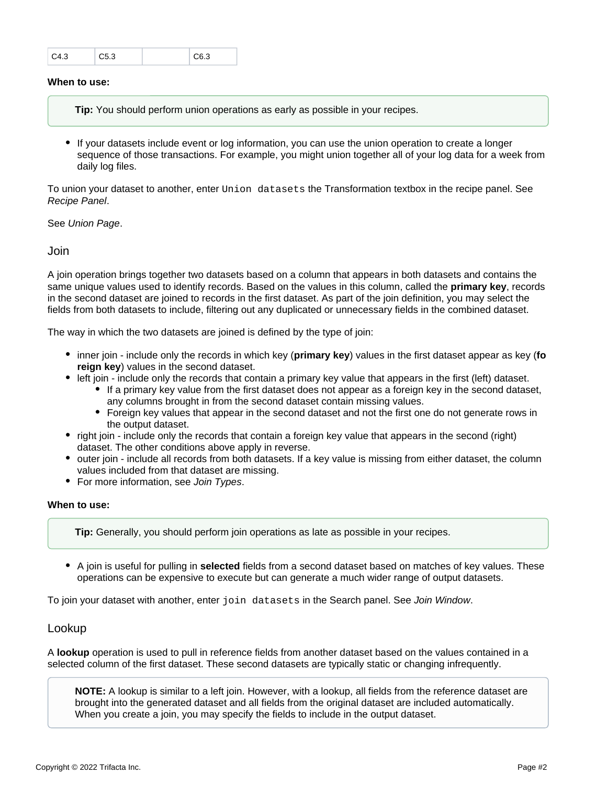| C4.3 | $\degree$ C5.3 | $\subset$ C6.3 |
|------|----------------|----------------|
|      |                |                |

## **When to use:**

**Tip:** You should perform union operations as early as possible in your recipes.

If your datasets include event or log information, you can use the union operation to create a longer sequence of those transactions. For example, you might union together all of your log data for a week from daily log files.

To union your dataset to another, enter Union datasets the Transformation textbox in the recipe panel. See [Recipe Panel](https://docs.trifacta.com/display/r082/Recipe+Panel).

See [Union Page](https://docs.trifacta.com/display/r082/Union+Page).

<span id="page-1-0"></span>Join

A join operation brings together two datasets based on a column that appears in both datasets and contains the same unique values used to identify records. Based on the values in this column, called the **primary key**, records in the second dataset are joined to records in the first dataset. As part of the join definition, you may select the fields from both datasets to include, filtering out any duplicated or unnecessary fields in the combined dataset.

The way in which the two datasets are joined is defined by the type of join:

- inner join include only the records in which key (**primary key**) values in the first dataset appear as key (**fo reign key**) values in the second dataset.
- left join include only the records that contain a primary key value that appears in the first (left) dataset.
	- If a primary key value from the first dataset does not appear as a foreign key in the second dataset, any columns brought in from the second dataset contain missing values.
	- Foreign key values that appear in the second dataset and not the first one do not generate rows in the output dataset.
- right join include only the records that contain a foreign key value that appears in the second (right) dataset. The other conditions above apply in reverse.
- outer join include all records from both datasets. If a key value is missing from either dataset, the column values included from that dataset are missing.
- For more information, see [Join Types](https://docs.trifacta.com/display/r082/Join+Types).

#### **When to use:**

**Tip:** Generally, you should perform join operations as late as possible in your recipes.

A join is useful for pulling in **selected** fields from a second dataset based on matches of key values. These operations can be expensive to execute but can generate a much wider range of output datasets.

To join your dataset with another, enter join datasets in the Search panel. See [Join Window](https://docs.trifacta.com/display/r082/Join+Window).

## <span id="page-1-1"></span>Lookup

A **lookup** operation is used to pull in reference fields from another dataset based on the values contained in a selected column of the first dataset. These second datasets are typically static or changing infrequently.

**NOTE:** A lookup is similar to a left join. However, with a lookup, all fields from the reference dataset are brought into the generated dataset and all fields from the original dataset are included automatically. When you create a join, you may specify the fields to include in the output dataset.